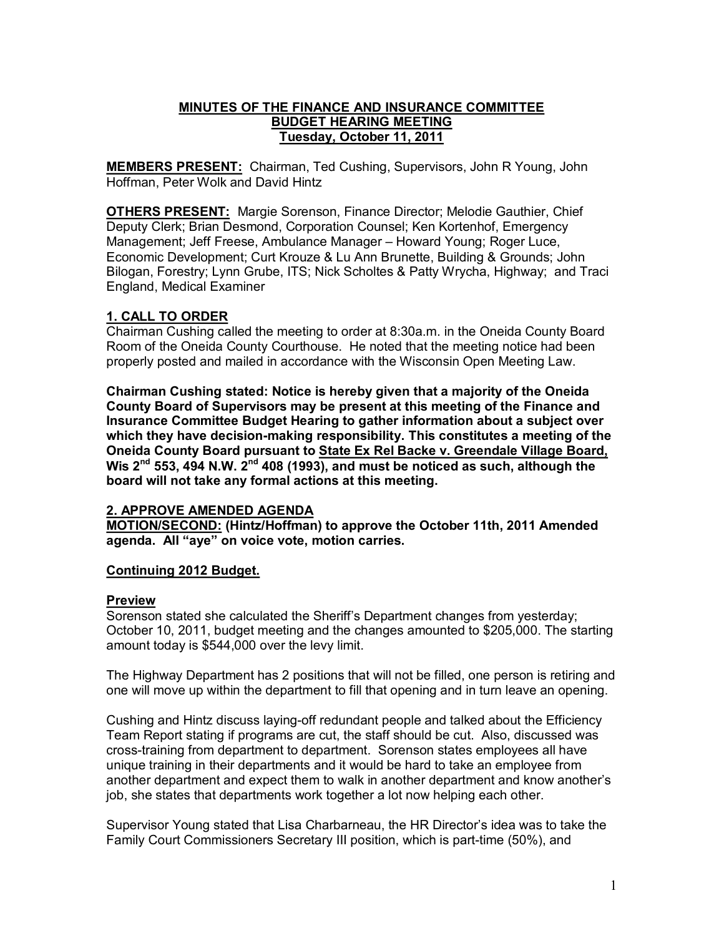### **MINUTES OF THE FINANCE AND INSURANCE COMMITTEE BUDGET HEARING MEETING Tuesday, October 11, 2011**

**MEMBERS PRESENT:** Chairman, Ted Cushing, Supervisors, John R Young, John Hoffman, Peter Wolk and David Hintz

**OTHERS PRESENT:** Margie Sorenson, Finance Director; Melodie Gauthier, Chief Deputy Clerk; Brian Desmond, Corporation Counsel; Ken Kortenhof, Emergency Management; Jeff Freese, Ambulance Manager – Howard Young; Roger Luce, Economic Development; Curt Krouze & Lu Ann Brunette, Building & Grounds; John Bilogan, Forestry; Lynn Grube, ITS; Nick Scholtes & Patty Wrycha, Highway; and Traci England, Medical Examiner

# **1. CALL TO ORDER**

Chairman Cushing called the meeting to order at 8:30a.m. in the Oneida County Board Room of the Oneida County Courthouse. He noted that the meeting notice had been properly posted and mailed in accordance with the Wisconsin Open Meeting Law.

**Chairman Cushing stated: Notice is hereby given that a majority of the Oneida County Board of Supervisors may be present at this meeting of the Finance and Insurance Committee Budget Hearing to gather information about a subject over**  which they have decision-making responsibility. This constitutes a meeting of the **Oneida County Board pursuant to State Ex Rel Backe v. Greendale Village Board, Wis 2 nd 553, 494 N.W. 2nd 408 (1993), and must be noticed as such, although the board will not take any formal actions at this meeting.** 

### **2. APPROVE AMENDED AGENDA**

**MOTION/SECOND: (Hintz/Hoffman) to approve the October 11th, 2011 Amended agenda. All "aye" on voice vote, motion carries.** 

### **Continuing 2012 Budget.**

### **Preview**

Sorenson stated she calculated the Sheriff's Department changes from yesterday; October 10, 2011, budget meeting and the changes amounted to \$205,000. The starting amount today is \$544,000 over the levy limit.

The Highway Department has 2 positions that will not be filled, one person is retiring and one will move up within the department to fill that opening and in turn leave an opening.

Cushing and Hintz discuss laying-off redundant people and talked about the Efficiency Team Report stating if programs are cut, the staff should be cut. Also, discussed was crosstraining from department to department. Sorenson states employees all have unique training in their departments and it would be hard to take an employee from another department and expect them to walk in another department and know another's job, she states that departments work together a lot now helping each other.

Supervisor Young stated that Lisa Charbarneau, the HR Director's idea was to take the Family Court Commissioners Secretary III position, which is part-time (50%), and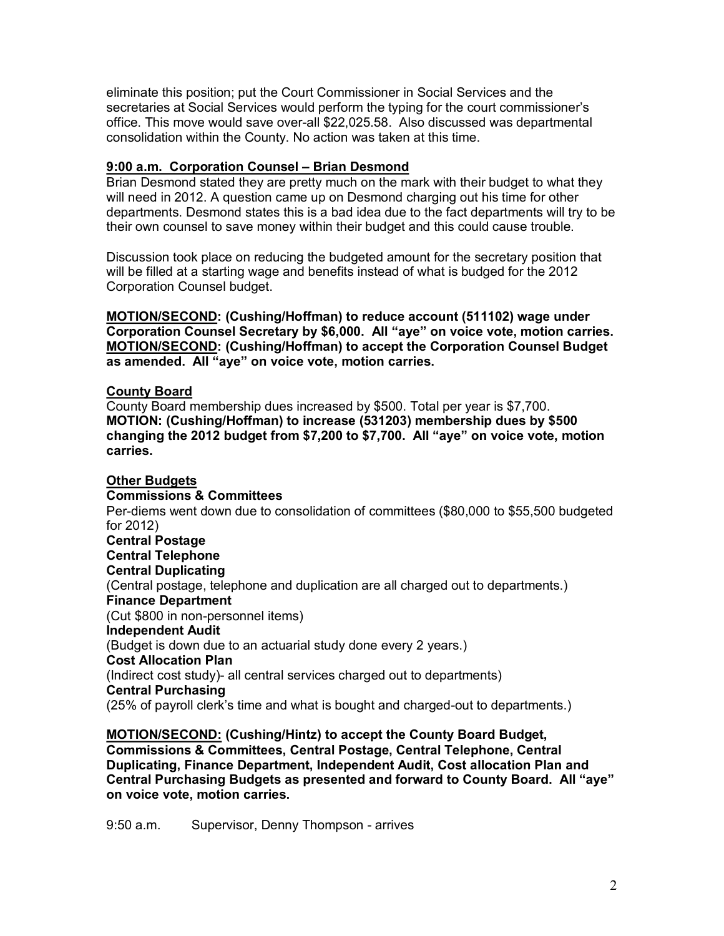eliminate this position; put the Court Commissioner in Social Services and the secretaries at Social Services would perform the typing for the court commissioner's office. This move would save overall \$22,025.58. Also discussed was departmental consolidation within the County. No action was taken at this time.

#### **9:00 a.m. Corporation Counsel – Brian Desmond**

Brian Desmond stated they are pretty much on the mark with their budget to what they will need in 2012. A question came up on Desmond charging out his time for other departments. Desmond states this is a bad idea due to the fact departments will try to be their own counsel to save money within their budget and this could cause trouble.

Discussion took place on reducing the budgeted amount for the secretary position that will be filled at a starting wage and benefits instead of what is budged for the 2012 Corporation Counsel budget.

**MOTION/SECOND: (Cushing/Hoffman) to reduce account (511102) wage under Corporation Counsel Secretary by \$6,000. All "aye" on voice vote, motion carries. MOTION/SECOND: (Cushing/Hoffman) to accept the Corporation Counsel Budget as amended. All "aye" on voice vote, motion carries.** 

#### **County Board**

County Board membership dues increased by \$500. Total per year is \$7,700. **MOTION: (Cushing/Hoffman) to increase (531203) membership dues by \$500 changing the 2012 budget from \$7,200 to \$7,700. All "aye" on voice vote, motion carries.** 

**Other Budgets Commissions & Committees** Per-diems went down due to consolidation of committees (\$80,000 to \$55,500 budgeted for 2012) **Central Postage Central Telephone Central Duplicating** (Central postage, telephone and duplication are all charged out to departments.) **Finance Department** (Cut \$800 in non-personnel items) **Independent Audit** (Budget is down due to an actuarial study done every 2 years.) **Cost Allocation Plan** (Indirect cost study)- all central services charged out to departments) **Central Purchasing** (25% of payroll clerk's time and what is bought and charged-out to departments.)

**MOTION/SECOND: (Cushing/Hintz) to accept the County Board Budget, Commissions & Committees, Central Postage, Central Telephone, Central Duplicating, Finance Department, Independent Audit, Cost allocation Plan and Central Purchasing Budgets as presented and forward to County Board. All "aye" on voice vote, motion carries.**

9:50 a.m. Supervisor, Denny Thompson - arrives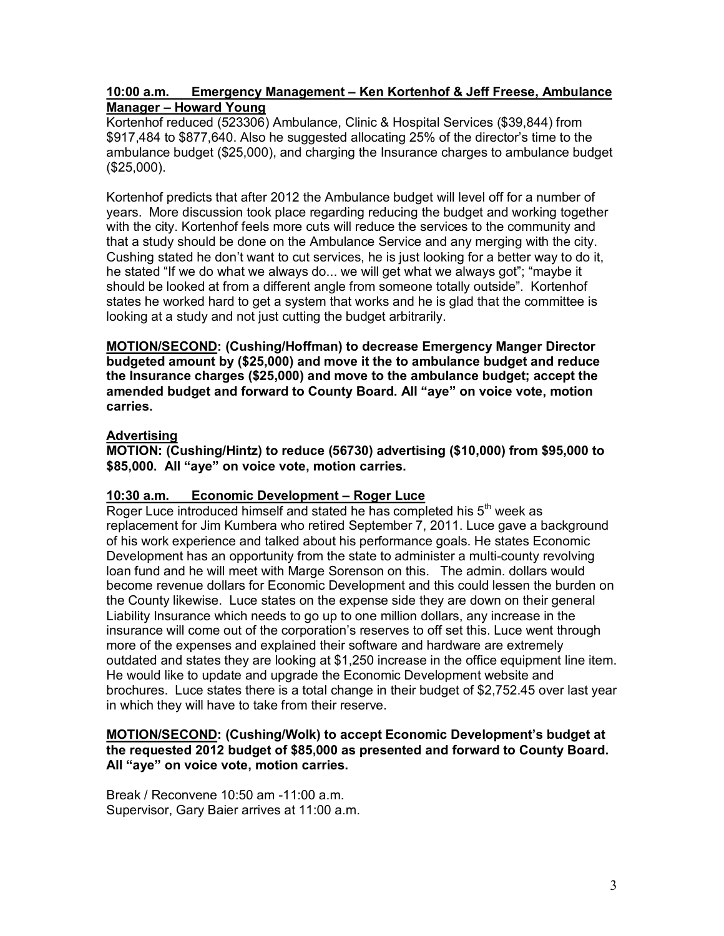### **10:00 a.m. Emergency Management – Ken Kortenhof & Jeff Freese, Ambulance Manager – Howard Young**

Kortenhof reduced (523306) Ambulance, Clinic & Hospital Services (\$39,844) from \$917,484 to \$877,640. Also he suggested allocating 25% of the director's time to the ambulance budget (\$25,000), and charging the Insurance charges to ambulance budget (\$25,000).

Kortenhof predicts that after 2012 the Ambulance budget will level off for a number of years. More discussion took place regarding reducing the budget and working together with the city. Kortenhof feels more cuts will reduce the services to the community and that a study should be done on the Ambulance Service and any merging with the city. Cushing stated he don't want to cut services, he is just looking for a better way to do it, he stated "If we do what we always do... we will get what we always got"; "maybe it should be looked at from a different angle from someone totally outside". Kortenhof states he worked hard to get a system that works and he is glad that the committee is looking at a study and not just cutting the budget arbitrarily.

**MOTION/SECOND: (Cushing/Hoffman) to decrease Emergency Manger Director budgeted amount by (\$25,000) and move it the to ambulance budget and reduce the Insurance charges (\$25,000) and move to the ambulance budget; accept the amended budget and forward to County Board. All "aye" on voice vote, motion carries.** 

# **Advertising**

**MOTION: (Cushing/Hintz) to reduce (56730) advertising (\$10,000) from \$95,000 to \$85,000. All "aye" on voice vote, motion carries.** 

### **10:30 a.m. Economic Development – Roger Luce**

Roger Luce introduced himself and stated he has completed his  $5<sup>th</sup>$  week as replacement for Jim Kumbera who retired September 7, 2011. Luce gave a background of his work experience and talked about his performance goals. He states Economic Development has an opportunity from the state to administer a multi-county revolving loan fund and he will meet with Marge Sorenson on this. The admin. dollars would become revenue dollars for Economic Development and this could lessen the burden on the County likewise. Luce states on the expense side they are down on their general Liability Insurance which needs to go up to one million dollars, any increase in the insurance will come out of the corporation's reserves to off set this. Luce went through more of the expenses and explained their software and hardware are extremely outdated and states they are looking at \$1,250 increase in the office equipment line item. He would like to update and upgrade the Economic Development website and brochures. Luce states there is a total change in their budget of \$2,752.45 over last year in which they will have to take from their reserve.

### **MOTION/SECOND: (Cushing/Wolk) to accept Economic Development's budget at the requested 2012 budget of \$85,000 as presented and forward to County Board. All "aye" on voice vote, motion carries.**

Break / Reconvene 10:50 am 11:00 a.m. Supervisor, Gary Baier arrives at 11:00 a.m.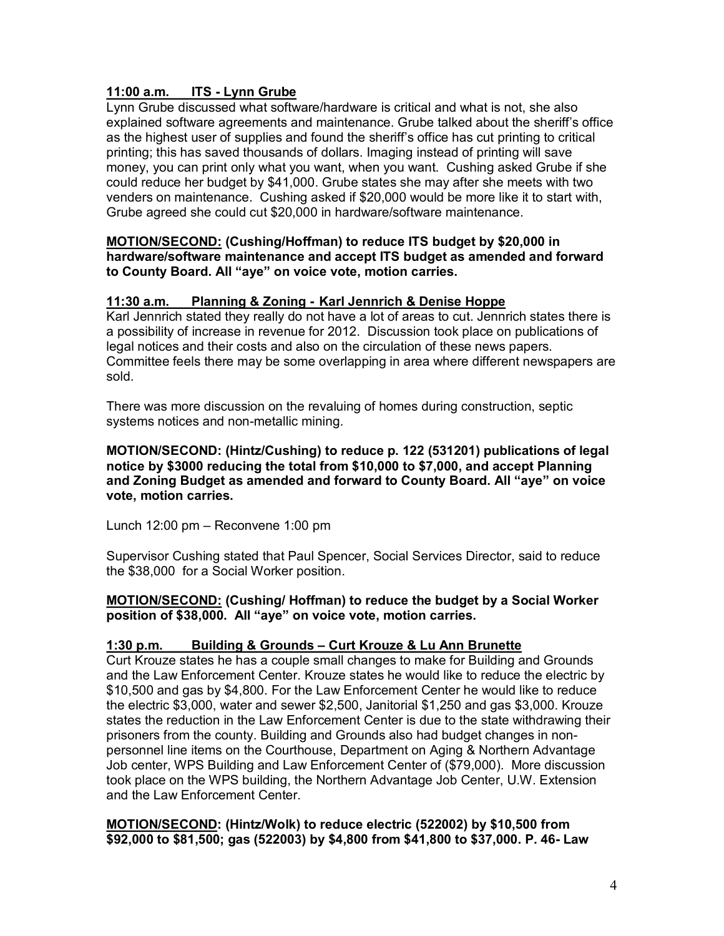# **11:00 a.m. ITS Lynn Grube**

Lynn Grube discussed what software/hardware is critical and what is not, she also explained software agreements and maintenance. Grube talked about the sheriff's office as the highest user of supplies and found the sheriff's office has cut printing to critical printing; this has saved thousands of dollars. Imaging instead of printing will save money, you can print only what you want, when you want. Cushing asked Grube if she could reduce her budget by \$41,000. Grube states she may after she meets with two venders on maintenance. Cushing asked if \$20,000 would be more like it to start with, Grube agreed she could cut \$20,000 in hardware/software maintenance.

#### **MOTION/SECOND: (Cushing/Hoffman) to reduce ITS budget by \$20,000 in hardware/software maintenance and accept ITS budget as amended and forward to County Board. All "aye" on voice vote, motion carries.**

### **11:30 a.m. Planning & Zoning Karl Jennrich & Denise Hoppe**

Karl Jennrich stated they really do not have a lot of areas to cut. Jennrich states there is a possibility of increase in revenue for 2012. Discussion took place on publications of legal notices and their costs and also on the circulation of these news papers. Committee feels there may be some overlapping in area where different newspapers are sold.

There was more discussion on the revaluing of homes during construction, septic systems notices and non-metallic mining.

#### **MOTION/SECOND: (Hintz/Cushing) to reduce p. 122 (531201) publications of legal notice by \$3000 reducing the total from \$10,000 to \$7,000, and accept Planning and Zoning Budget as amended and forward to County Board. All "aye" on voice vote, motion carries.**

Lunch 12:00 pm – Reconvene 1:00 pm

Supervisor Cushing stated that Paul Spencer, Social Services Director, said to reduce the \$38,000 for a Social Worker position.

#### **MOTION/SECOND: (Cushing/ Hoffman) to reduce the budget by a Social Worker position of \$38,000. All "aye" on voice vote, motion carries.**

### **1:30 p.m. Building & Grounds – Curt Krouze & Lu Ann Brunette**

Curt Krouze states he has a couple small changes to make for Building and Grounds and the Law Enforcement Center. Krouze states he would like to reduce the electric by \$10,500 and gas by \$4,800. For the Law Enforcement Center he would like to reduce the electric \$3,000, water and sewer \$2,500, Janitorial \$1,250 and gas \$3,000. Krouze states the reduction in the Law Enforcement Center is due to the state withdrawing their prisoners from the county. Building and Grounds also had budget changes in non personnel line items on the Courthouse, Department on Aging & Northern Advantage Job center, WPS Building and Law Enforcement Center of (\$79,000). More discussion took place on the WPS building, the Northern Advantage Job Center, U.W. Extension and the Law Enforcement Center.

**MOTION/SECOND: (Hintz/Wolk) to reduce electric (522002) by \$10,500 from \$92,000 to \$81,500; gas (522003) by \$4,800 from \$41,800 to \$37,000. P. 46 Law**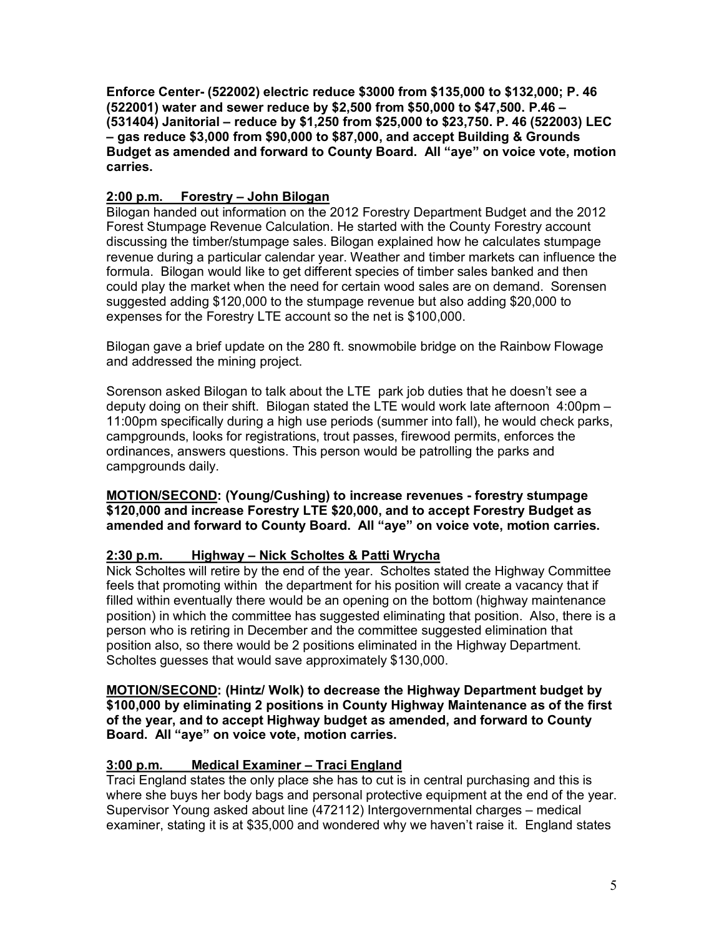**Enforce Center (522002) electric reduce \$3000 from \$135,000 to \$132,000; P. 46 (522001) water and sewer reduce by \$2,500 from \$50,000 to \$47,500. P.46 – (531404) Janitorial – reduce by \$1,250 from \$25,000 to \$23,750. P. 46 (522003) LEC – gas reduce \$3,000 from \$90,000 to \$87,000, and accept Building & Grounds Budget as amended and forward to County Board. All "aye" on voice vote, motion carries.** 

# **2:00 p.m. Forestry – John Bilogan**

Bilogan handed out information on the 2012 Forestry Department Budget and the 2012 Forest Stumpage Revenue Calculation. He started with the County Forestry account discussing the timber/stumpage sales. Bilogan explained how he calculates stumpage revenue during a particular calendar year. Weather and timber markets can influence the formula. Bilogan would like to get different species of timber sales banked and then could play the market when the need for certain wood sales are on demand. Sorensen suggested adding \$120,000 to the stumpage revenue but also adding \$20,000 to expenses for the Forestry LTE account so the net is \$100,000.

Bilogan gave a brief update on the 280 ft. snowmobile bridge on the Rainbow Flowage and addressed the mining project.

Sorenson asked Bilogan to talk about the LTE park job duties that he doesn't see a deputy doing on their shift. Bilogan stated the LTE would work late afternoon 4:00pm – 11:00pm specifically during a high use periods (summer into fall), he would check parks, campgrounds, looks for registrations, trout passes, firewood permits, enforces the ordinances, answers questions. This person would be patrolling the parks and campgrounds daily.

**MOTION/SECOND: (Young/Cushing) to increase revenues forestry stumpage \$120,000 and increase Forestry LTE \$20,000, and to accept Forestry Budget as amended and forward to County Board. All "aye" on voice vote, motion carries.** 

### **2:30 p.m. Highway – Nick Scholtes & Patti Wrycha**

Nick Scholtes will retire by the end of the year. Scholtes stated the Highway Committee feels that promoting within the department for his position will create a vacancy that if filled within eventually there would be an opening on the bottom (highway maintenance position) in which the committee has suggested eliminating that position. Also, there is a person who is retiring in December and the committee suggested elimination that position also, so there would be 2 positions eliminated in the Highway Department. Scholtes guesses that would save approximately \$130,000.

**MOTION/SECOND: (Hintz/ Wolk) to decrease the Highway Department budget by \$100,000 by eliminating 2 positions in County Highway Maintenance as of the first of the year, and to accept Highway budget as amended, and forward to County Board. All "aye" on voice vote, motion carries.** 

# **3:00 p.m. Medical Examiner – Traci England**

Traci England states the only place she has to cut is in central purchasing and this is where she buys her body bags and personal protective equipment at the end of the year. Supervisor Young asked about line (472112) Intergovernmental charges – medical examiner, stating it is at \$35,000 and wondered why we haven't raise it. England states